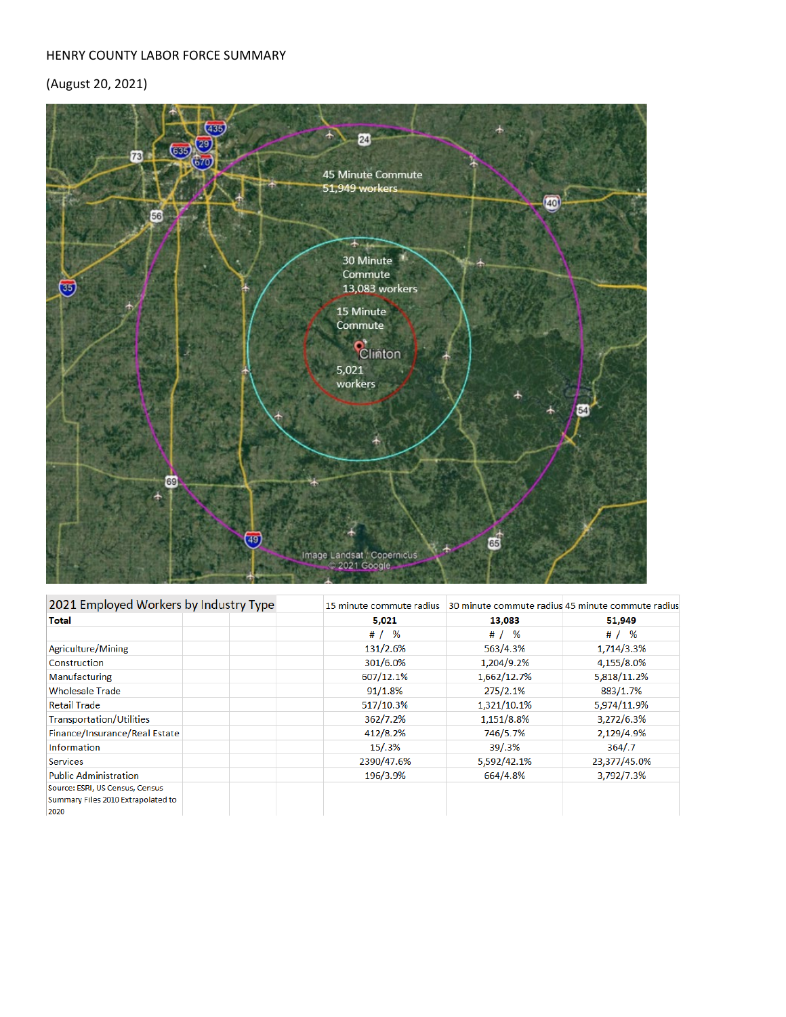## HENRY COUNTY LABOR FORCE SUMMARY

## (August 20, 2021)



| 2021 Employed Workers by Industry Type                                        | 15 minute commute radius |             | 30 minute commute radius 45 minute commute radius |  |
|-------------------------------------------------------------------------------|--------------------------|-------------|---------------------------------------------------|--|
| <b>Total</b>                                                                  | 5,021                    | 13,083      | 51,949                                            |  |
|                                                                               | # $/$ %                  | # $/$ %     | # $/$ %                                           |  |
| Agriculture/Mining                                                            | 131/2.6%                 | 563/4.3%    | 1,714/3.3%                                        |  |
| Construction                                                                  | 301/6.0%                 | 1,204/9.2%  | 4,155/8.0%                                        |  |
| <b>Manufacturing</b>                                                          | 607/12.1%                | 1,662/12.7% | 5,818/11.2%                                       |  |
| <b>Wholesale Trade</b>                                                        | 91/1.8%                  | 275/2.1%    | 883/1.7%                                          |  |
| <b>Retail Trade</b>                                                           | 517/10.3%                | 1,321/10.1% | 5,974/11.9%                                       |  |
| <b>Transportation/Utilities</b>                                               | 362/7.2%                 | 1,151/8.8%  | 3,272/6.3%                                        |  |
| Finance/Insurance/Real Estate                                                 | 412/8.2%                 | 746/5.7%    | 2,129/4.9%                                        |  |
| <b>Information</b>                                                            | 15/.3%                   | 39/0.3%     | 364/7                                             |  |
| <b>Services</b>                                                               | 2390/47.6%               | 5,592/42.1% | 23,377/45.0%                                      |  |
| <b>Public Administration</b>                                                  | 196/3.9%                 | 664/4.8%    | 3,792/7.3%                                        |  |
| Source: ESRI, US Census, Census<br>Summary Files 2010 Extrapolated to<br>2020 |                          |             |                                                   |  |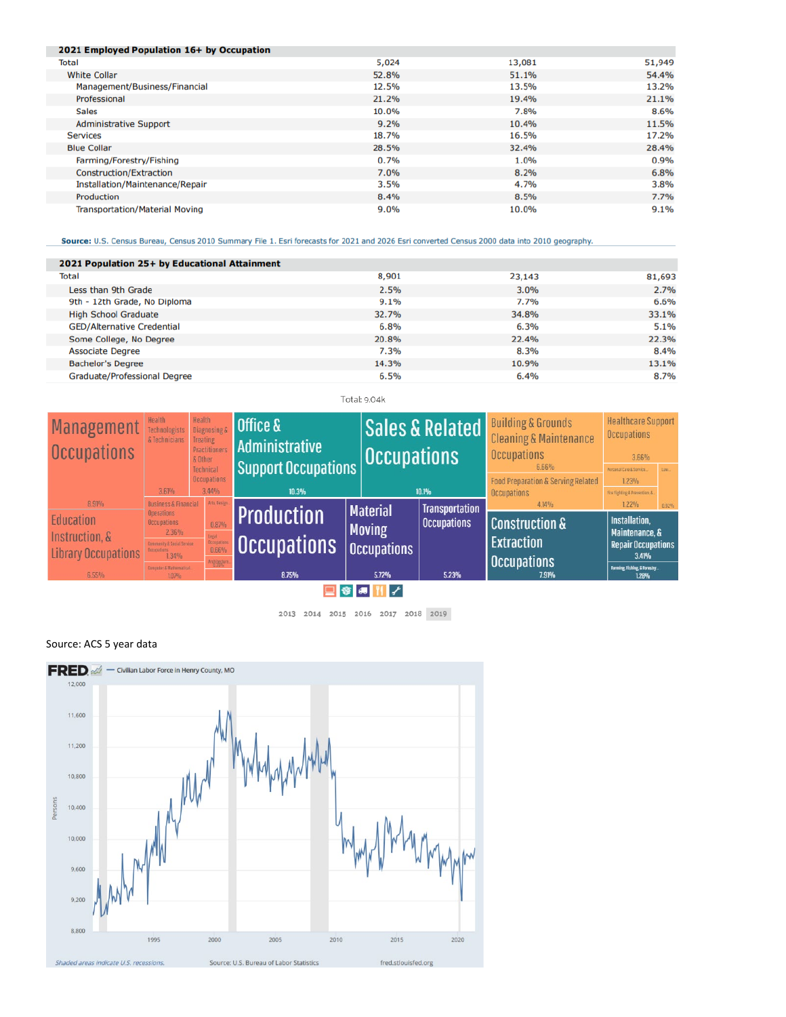| 2021 Employed Population 16+ by Occupation |       |        |        |
|--------------------------------------------|-------|--------|--------|
| <b>Total</b>                               | 5,024 | 13,081 | 51,949 |
| <b>White Collar</b>                        | 52.8% | 51.1%  | 54.4%  |
| Management/Business/Financial              | 12.5% | 13.5%  | 13.2%  |
| Professional                               | 21.2% | 19.4%  | 21.1%  |
| <b>Sales</b>                               | 10.0% | 7.8%   | 8.6%   |
| <b>Administrative Support</b>              | 9.2%  | 10.4%  | 11.5%  |
| <b>Services</b>                            | 18.7% | 16.5%  | 17.2%  |
| <b>Blue Collar</b>                         | 28.5% | 32.4%  | 28.4%  |
| Farming/Forestry/Fishing                   | 0.7%  | 1.0%   | 0.9%   |
| Construction/Extraction                    | 7.0%  | 8.2%   | 6.8%   |
| Installation/Maintenance/Repair            | 3.5%  | 4.7%   | 3.8%   |
| Production                                 | 8.4%  | 8.5%   | 7.7%   |
| <b>Transportation/Material Moving</b>      | 9.0%  | 10.0%  | 9.1%   |

Source: U.S. Census Bureau, Census 2010 Summary File 1. Esri forecasts for 2021 and 2026 Esri converted Census 2000 data into 2010 geography.

| 2021 Population 25+ by Educational Attainment |       |        |        |
|-----------------------------------------------|-------|--------|--------|
| <b>Total</b>                                  | 8,901 | 23,143 | 81,693 |
| Less than 9th Grade                           | 2.5%  | 3.0%   | 2.7%   |
| 9th - 12th Grade, No Diploma                  | 9.1%  | 7.7%   | 6.6%   |
| <b>High School Graduate</b>                   | 32.7% | 34.8%  | 33.1%  |
| <b>GED/Alternative Credential</b>             | 6.8%  | 6.3%   | 5.1%   |
| Some College, No Degree                       | 20.8% | 22.4%  | 22.3%  |
| <b>Associate Degree</b>                       | 7.3%  | 8.3%   | 8.4%   |
| <b>Bachelor's Degree</b>                      | 14.3% | 10.9%  | 13.1%  |
| <b>Graduate/Professional Degree</b>           | 6.5%  | 6.4%   | 8.7%   |

Total: 9.04k

| <b>Management</b><br><b>Occupations</b> | Health<br>Technologists<br>& Technicians | <b>Health</b><br><b>Diagnosing &amp;</b><br><b>Treating</b><br><b>Practitioner:</b><br>& Other<br>Technical | <b>Office &amp;</b><br>Administrative<br><b>Support Occupations</b> | <b>Occupations</b> | <b>Sales &amp; Related</b> | <b>Building &amp; Grounds</b><br><b>Cleaning &amp; Maintenance</b><br><b>Occupations</b><br>6.66% | <b>Healthcare Support</b><br><b>Occupations</b><br>3.66%<br>Personal Care & Service |       |
|-----------------------------------------|------------------------------------------|-------------------------------------------------------------------------------------------------------------|---------------------------------------------------------------------|--------------------|----------------------------|---------------------------------------------------------------------------------------------------|-------------------------------------------------------------------------------------|-------|
|                                         | 3.61%                                    | <b>Occupations</b><br>3.44%                                                                                 | 10.3%                                                               |                    | 10.1%                      | <b>Food Preparation &amp; Serving Related</b><br><b>Occupations</b>                               | 1.23%<br>Fire Fighting & Prevention, &.                                             |       |
| 8.91%                                   | <b>Business &amp; Financial</b>          | Arts, Design.                                                                                               |                                                                     | <b>Material</b>    | <b>Transportation</b>      | 4.14%                                                                                             | 1.22%                                                                               | 0.92% |
| Education                               | <b>Operations</b><br><b>Occupations</b>  | 0.87%                                                                                                       | <b>Production</b>                                                   |                    | <b>Occupations</b>         | <b>Construction &amp;</b>                                                                         | <b>Installation.</b>                                                                |       |
| Instruction, &                          | 2.36%<br>unity & Social Service          |                                                                                                             |                                                                     | <b>Moving</b>      |                            | <b>Extraction</b>                                                                                 | Maintenance, &<br><b>Repair Occupations</b>                                         |       |
| <b>Library Occupations</b>              | 1.34%                                    |                                                                                                             | <b>Occupations</b>                                                  | <b>Occupations</b> |                            |                                                                                                   | 3.41%                                                                               |       |
| $6.55\%$                                | uter & Mathematical.<br>1.07%            | reliente                                                                                                    | 8.75%                                                               | 5.72%              | 5.23%                      | <b>Occupations</b><br>7.91%                                                                       | <b>Farming, Fishing, &amp; Forestry</b><br>1.28%                                    |       |
| $-1$ $-1$                               |                                          |                                                                                                             |                                                                     |                    |                            |                                                                                                   |                                                                                     |       |

□●■Ⅱ/

2013 2014 2015 2016 2017 2018 2019

## Source: ACS 5 year data

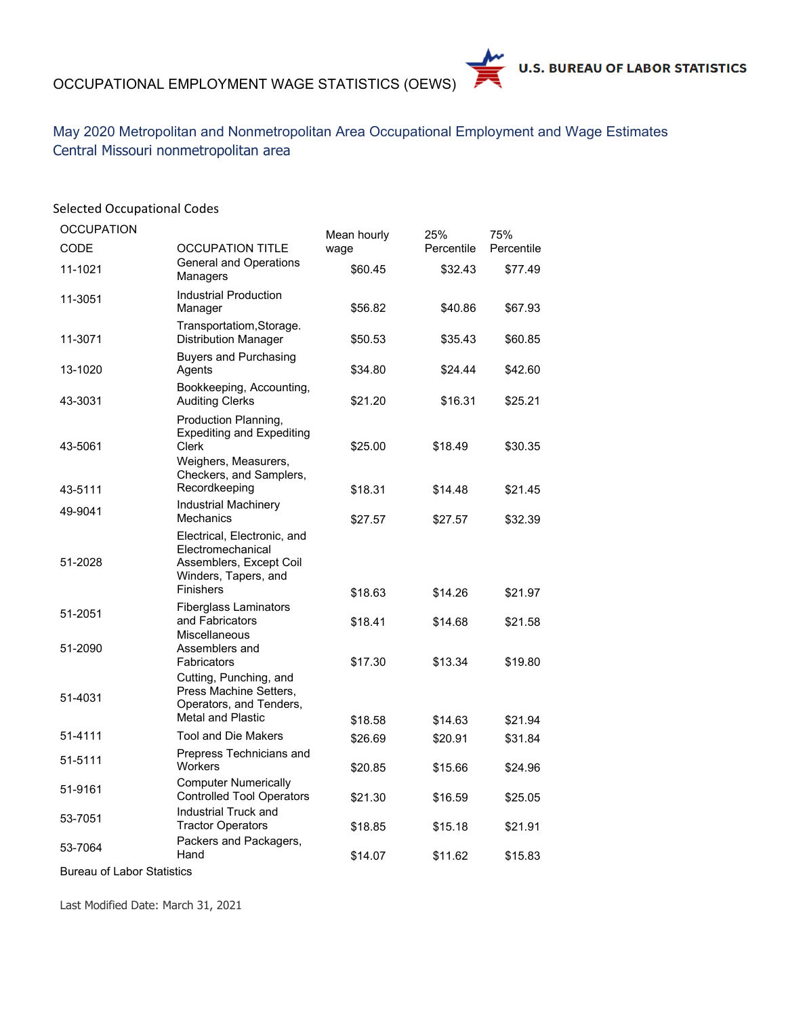## OCCUPATIONAL EMPLOYMENT WAGE STATISTICS (OEWS)



May 2020 Metropolitan and Nonmetropolitan Area Occupational Employment and Wage Estimates Central Missouri nonmetropolitan area

| <b>Selected Occupational Codes</b> |                                                                                                         |             |            |            |
|------------------------------------|---------------------------------------------------------------------------------------------------------|-------------|------------|------------|
| <b>OCCUPATION</b>                  |                                                                                                         | Mean hourly | 25%        | 75%        |
| <b>CODE</b>                        | <b>OCCUPATION TITLE</b>                                                                                 | wage        | Percentile | Percentile |
| 11-1021                            | <b>General and Operations</b><br>Managers                                                               | \$60.45     | \$32.43    | \$77.49    |
| 11-3051                            | <b>Industrial Production</b><br>Manager                                                                 | \$56.82     | \$40.86    | \$67.93    |
| 11-3071                            | Transportatiom, Storage.<br><b>Distribution Manager</b>                                                 | \$50.53     | \$35.43    | \$60.85    |
| 13-1020                            | <b>Buyers and Purchasing</b><br>Agents                                                                  | \$34.80     | \$24.44    | \$42.60    |
| 43-3031                            | Bookkeeping, Accounting,<br><b>Auditing Clerks</b>                                                      | \$21.20     | \$16.31    | \$25.21    |
| 43-5061                            | Production Planning,<br><b>Expediting and Expediting</b><br>Clerk                                       | \$25.00     | \$18.49    | \$30.35    |
| 43-5111                            | Weighers, Measurers,<br>Checkers, and Samplers,<br>Recordkeeping                                        | \$18.31     | \$14.48    | \$21.45    |
| 49-9041                            | Industrial Machinery                                                                                    |             |            |            |
|                                    | Mechanics<br>Electrical, Electronic, and                                                                | \$27.57     | \$27.57    | \$32.39    |
| 51-2028                            | Electromechanical<br>Assemblers, Except Coil<br>Winders, Tapers, and<br><b>Finishers</b>                |             |            |            |
|                                    | <b>Fiberglass Laminators</b>                                                                            | \$18.63     | \$14.26    | \$21.97    |
| 51-2051                            | and Fabricators<br><b>Miscellaneous</b>                                                                 | \$18.41     | \$14.68    | \$21.58    |
| 51-2090                            | Assemblers and<br>Fabricators                                                                           | \$17.30     | \$13.34    | \$19.80    |
| 51-4031                            | Cutting, Punching, and<br>Press Machine Setters,<br>Operators, and Tenders,<br><b>Metal and Plastic</b> |             |            |            |
| 51-4111                            | <b>Tool and Die Makers</b>                                                                              | \$18.58     | \$14.63    | \$21.94    |
|                                    | Prepress Technicians and                                                                                | \$26.69     | \$20.91    | \$31.84    |
| 51-5111                            | Workers                                                                                                 | \$20.85     | \$15.66    | \$24.96    |
| 51-9161                            | <b>Computer Numerically</b><br><b>Controlled Tool Operators</b>                                         | \$21.30     | \$16.59    | \$25.05    |
| 53-7051                            | Industrial Truck and<br><b>Tractor Operators</b>                                                        | \$18.85     | \$15.18    | \$21.91    |
| 53-7064                            | Packers and Packagers,<br>Hand                                                                          | \$14.07     | \$11.62    | \$15.83    |
| <b>Bureau of Labor Statistics</b>  |                                                                                                         |             |            |            |

Last Modified Date: March 31, 2021